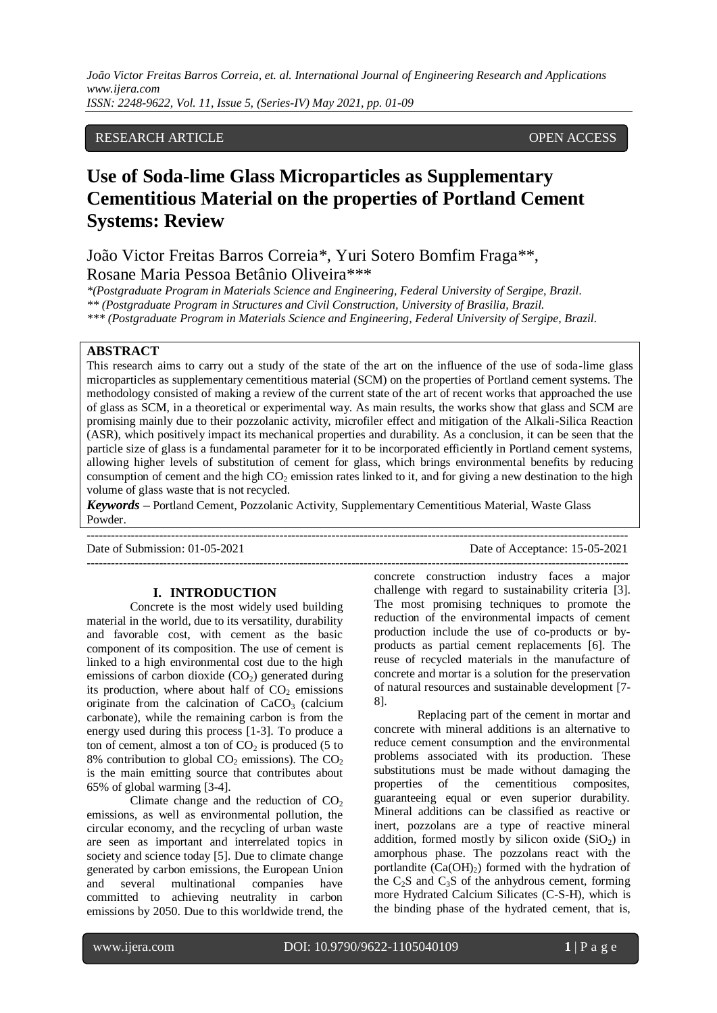*João Victor Freitas Barros Correia, et. al. International Journal of Engineering Research and Applications www.ijera.com ISSN: 2248-9622, Vol. 11, Issue 5, (Series-IV) May 2021, pp. 01-09*

# RESEARCH ARTICLE OPEN ACCESS

# **Use of Soda-lime Glass Microparticles as Supplementary Cementitious Material on the properties of Portland Cement Systems: Review**

João Victor Freitas Barros Correia\*, Yuri Sotero Bomfim Fraga\*\*, Rosane Maria Pessoa Betânio Oliveira\*\*\*

*\*(Postgraduate Program in Materials Science and Engineering, Federal University of Sergipe, Brazil.*

*\*\* (Postgraduate Program in Structures and Civil Construction, University of Brasilia, Brazil.*

*\*\*\* (Postgraduate Program in Materials Science and Engineering, Federal University of Sergipe, Brazil.*

#### **ABSTRACT**

This research aims to carry out a study of the state of the art on the influence of the use of soda-lime glass microparticles as supplementary cementitious material (SCM) on the properties of Portland cement systems. The methodology consisted of making a review of the current state of the art of recent works that approached the use of glass as SCM, in a theoretical or experimental way. As main results, the works show that glass and SCM are promising mainly due to their pozzolanic activity, microfiler effect and mitigation of the Alkali-Silica Reaction (ASR), which positively impact its mechanical properties and durability. As a conclusion, it can be seen that the particle size of glass is a fundamental parameter for it to be incorporated efficiently in Portland cement systems, allowing higher levels of substitution of cement for glass, which brings environmental benefits by reducing consumption of cement and the high  $CO<sub>2</sub>$  emission rates linked to it, and for giving a new destination to the high volume of glass waste that is not recycled.

*Keywords* **–** Portland Cement, Pozzolanic Activity, Supplementary Cementitious Material, Waste Glass Powder.

| Date of Submission: 01-05-2021 | Date of Acceptance: $15-05-2021$ |
|--------------------------------|----------------------------------|
|                                |                                  |

#### **I. INTRODUCTION**

Concrete is the most widely used building material in the world, due to its versatility, durability and favorable cost, with cement as the basic component of its composition. The use of cement is linked to a high environmental cost due to the high emissions of carbon dioxide  $(CO<sub>2</sub>)$  generated during its production, where about half of  $CO<sub>2</sub>$  emissions originate from the calcination of  $CaCO<sub>3</sub>$  (calcium carbonate), while the remaining carbon is from the energy used during this process [1-3]. To produce a ton of cement, almost a ton of  $CO<sub>2</sub>$  is produced (5 to 8% contribution to global  $CO<sub>2</sub>$  emissions). The  $CO<sub>2</sub>$ is the main emitting source that contributes about 65% of global warming [3-4].

Climate change and the reduction of  $CO<sub>2</sub>$ emissions, as well as environmental pollution, the circular economy, and the recycling of urban waste are seen as important and interrelated topics in society and science today [5]. Due to climate change generated by carbon emissions, the European Union and several multinational companies have committed to achieving neutrality in carbon emissions by 2050. Due to this worldwide trend, the

concrete construction industry faces a major challenge with regard to sustainability criteria [3]. The most promising techniques to promote the reduction of the environmental impacts of cement production include the use of co-products or byproducts as partial cement replacements [6]. The reuse of recycled materials in the manufacture of concrete and mortar is a solution for the preservation of natural resources and sustainable development [7- 8].

Replacing part of the cement in mortar and concrete with mineral additions is an alternative to reduce cement consumption and the environmental problems associated with its production. These substitutions must be made without damaging the properties of the cementitious composites, guaranteeing equal or even superior durability. Mineral additions can be classified as reactive or inert, pozzolans are a type of reactive mineral addition, formed mostly by silicon oxide  $(SiO<sub>2</sub>)$  in amorphous phase. The pozzolans react with the portlandite  $(Ca(OH<sub>2</sub>)$  formed with the hydration of the  $C_2S$  and  $C_3S$  of the anhydrous cement, forming more Hydrated Calcium Silicates (C-S-H), which is the binding phase of the hydrated cement, that is,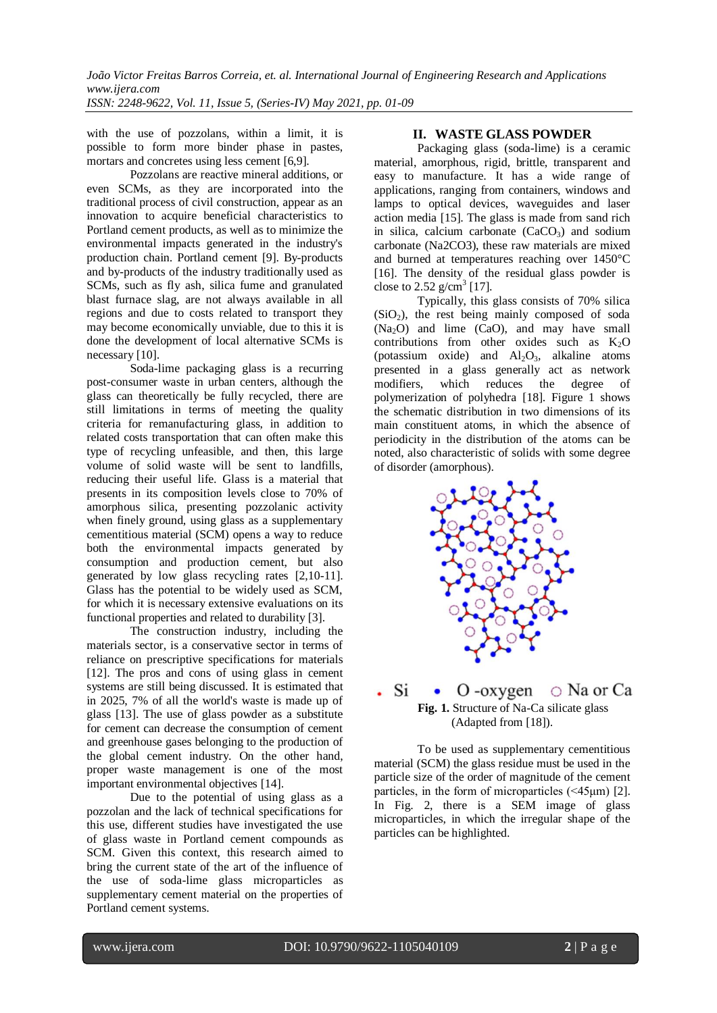with the use of pozzolans, within a limit, it is possible to form more binder phase in pastes, mortars and concretes using less cement [6,9].

Pozzolans are reactive mineral additions, or even SCMs, as they are incorporated into the traditional process of civil construction, appear as an innovation to acquire beneficial characteristics to Portland cement products, as well as to minimize the environmental impacts generated in the industry's production chain. Portland cement [9]. By-products and by-products of the industry traditionally used as SCMs, such as fly ash, silica fume and granulated blast furnace slag, are not always available in all regions and due to costs related to transport they may become economically unviable, due to this it is done the development of local alternative SCMs is necessary [10].

Soda-lime packaging glass is a recurring post-consumer waste in urban centers, although the glass can theoretically be fully recycled, there are still limitations in terms of meeting the quality criteria for remanufacturing glass, in addition to related costs transportation that can often make this type of recycling unfeasible, and then, this large volume of solid waste will be sent to landfills, reducing their useful life. Glass is a material that presents in its composition levels close to 70% of amorphous silica, presenting pozzolanic activity when finely ground, using glass as a supplementary cementitious material (SCM) opens a way to reduce both the environmental impacts generated by consumption and production cement, but also generated by low glass recycling rates [2,10-11]. Glass has the potential to be widely used as SCM, for which it is necessary extensive evaluations on its functional properties and related to durability [3].

The construction industry, including the materials sector, is a conservative sector in terms of reliance on prescriptive specifications for materials [12]. The pros and cons of using glass in cement systems are still being discussed. It is estimated that in 2025, 7% of all the world's waste is made up of glass [13]. The use of glass powder as a substitute for cement can decrease the consumption of cement and greenhouse gases belonging to the production of the global cement industry. On the other hand, proper waste management is one of the most important environmental objectives [14].

Due to the potential of using glass as a pozzolan and the lack of technical specifications for this use, different studies have investigated the use of glass waste in Portland cement compounds as SCM. Given this context, this research aimed to bring the current state of the art of the influence of the use of soda-lime glass microparticles as supplementary cement material on the properties of Portland cement systems.

# **II. WASTE GLASS POWDER**

Packaging glass (soda-lime) is a ceramic material, amorphous, rigid, brittle, transparent and easy to manufacture. It has a wide range of applications, ranging from containers, windows and lamps to optical devices, waveguides and laser action media [15]. The glass is made from sand rich in silica, calcium carbonate  $(CaCO<sub>3</sub>)$  and sodium carbonate (Na2CO3), these raw materials are mixed and burned at temperatures reaching over 1450°C [16]. The density of the residual glass powder is close to 2.52  $g/cm^3$  [17].

Typically, this glass consists of 70% silica  $(SiO<sub>2</sub>)$ , the rest being mainly composed of soda (Na2O) and lime (CaO), and may have small contributions from other oxides such as  $K_2O$ (potassium oxide) and  $Al_2O_3$ , alkaline atoms presented in a glass generally act as network modifiers, which reduces the degree of polymerization of polyhedra [18]. Figure 1 shows the schematic distribution in two dimensions of its main constituent atoms, in which the absence of periodicity in the distribution of the atoms can be noted, also characteristic of solids with some degree of disorder (amorphous).



#### Si  $\circ$  Na or Ca  $O$  -oxygen  $\bullet$ **Fig. 1.** Structure of Na-Ca silicate glass (Adapted from [18]).

To be used as supplementary cementitious material (SCM) the glass residue must be used in the particle size of the order of magnitude of the cement particles, in the form of microparticles (<45μm) [2]. In Fig. 2, there is a SEM image of glass microparticles, in which the irregular shape of the particles can be highlighted.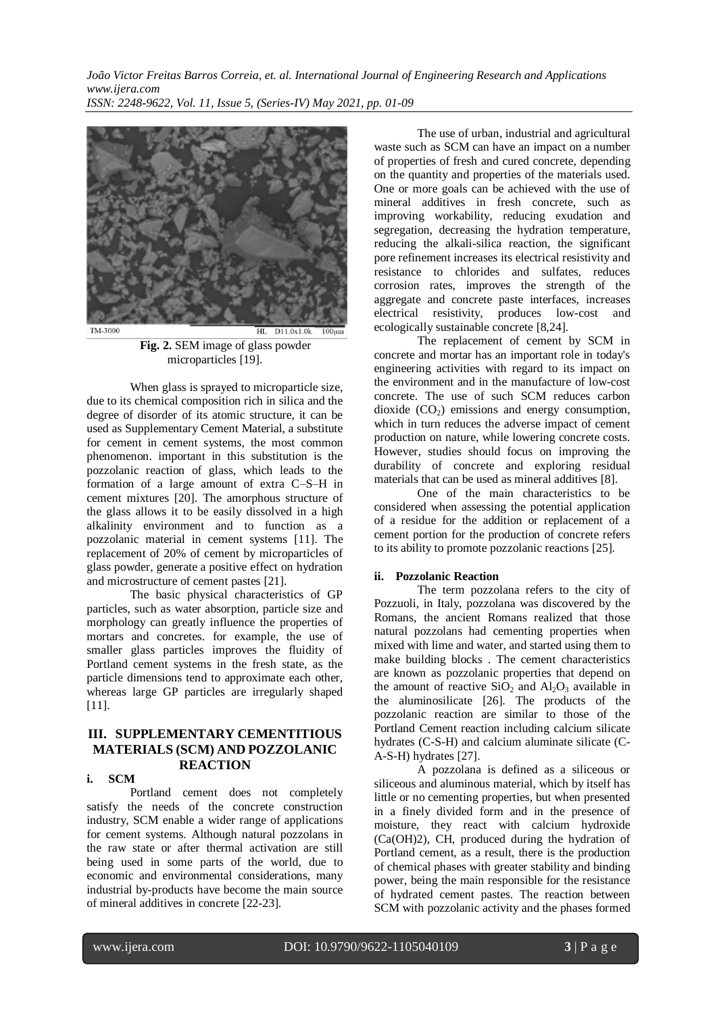*João Victor Freitas Barros Correia, et. al. International Journal of Engineering Research and Applications www.ijera.com ISSN: 2248-9622, Vol. 11, Issue 5, (Series-IV) May 2021, pp. 01-09*



**Fig. 2.** SEM image of glass powder microparticles [19].

When glass is sprayed to microparticle size, due to its chemical composition rich in silica and the degree of disorder of its atomic structure, it can be used as Supplementary Cement Material, a substitute for cement in cement systems, the most common phenomenon. important in this substitution is the pozzolanic reaction of glass, which leads to the formation of a large amount of extra C–S–H in cement mixtures [20]. The amorphous structure of the glass allows it to be easily dissolved in a high alkalinity environment and to function as a pozzolanic material in cement systems [11]. The replacement of 20% of cement by microparticles of glass powder, generate a positive effect on hydration and microstructure of cement pastes [21].

The basic physical characteristics of GP particles, such as water absorption, particle size and morphology can greatly influence the properties of mortars and concretes. for example, the use of smaller glass particles improves the fluidity of Portland cement systems in the fresh state, as the particle dimensions tend to approximate each other, whereas large GP particles are irregularly shaped [11].

# **III. SUPPLEMENTARY CEMENTITIOUS MATERIALS (SCM) AND POZZOLANIC REACTION**

# **i. SCM**

Portland cement does not completely satisfy the needs of the concrete construction industry, SCM enable a wider range of applications for cement systems. Although natural pozzolans in the raw state or after thermal activation are still being used in some parts of the world, due to economic and environmental considerations, many industrial by-products have become the main source of mineral additives in concrete [22-23].

The use of urban, industrial and agricultural waste such as SCM can have an impact on a number of properties of fresh and cured concrete, depending on the quantity and properties of the materials used. One or more goals can be achieved with the use of mineral additives in fresh concrete, such as improving workability, reducing exudation and segregation, decreasing the hydration temperature, reducing the alkali-silica reaction, the significant pore refinement increases its electrical resistivity and resistance to chlorides and sulfates, reduces corrosion rates, improves the strength of the aggregate and concrete paste interfaces, increases electrical resistivity, produces low-cost and ecologically sustainable concrete [8,24].

The replacement of cement by SCM in concrete and mortar has an important role in today's engineering activities with regard to its impact on the environment and in the manufacture of low-cost concrete. The use of such SCM reduces carbon dioxide  $(CO<sub>2</sub>)$  emissions and energy consumption, which in turn reduces the adverse impact of cement production on nature, while lowering concrete costs. However, studies should focus on improving the durability of concrete and exploring residual materials that can be used as mineral additives [8].

One of the main characteristics to be considered when assessing the potential application of a residue for the addition or replacement of a cement portion for the production of concrete refers to its ability to promote pozzolanic reactions [25].

#### **ii. Pozzolanic Reaction**

The term pozzolana refers to the city of Pozzuoli, in Italy, pozzolana was discovered by the Romans, the ancient Romans realized that those natural pozzolans had cementing properties when mixed with lime and water, and started using them to make building blocks . The cement characteristics are known as pozzolanic properties that depend on the amount of reactive  $SiO_2$  and  $Al_2O_3$  available in the aluminosilicate [26]. The products of the pozzolanic reaction are similar to those of the Portland Cement reaction including calcium silicate hydrates (C-S-H) and calcium aluminate silicate (C-A-S-H) hydrates [27].

A pozzolana is defined as a siliceous or siliceous and aluminous material, which by itself has little or no cementing properties, but when presented in a finely divided form and in the presence of moisture, they react with calcium hydroxide (Ca(OH)2), CH, produced during the hydration of Portland cement, as a result, there is the production of chemical phases with greater stability and binding power, being the main responsible for the resistance of hydrated cement pastes. The reaction between SCM with pozzolanic activity and the phases formed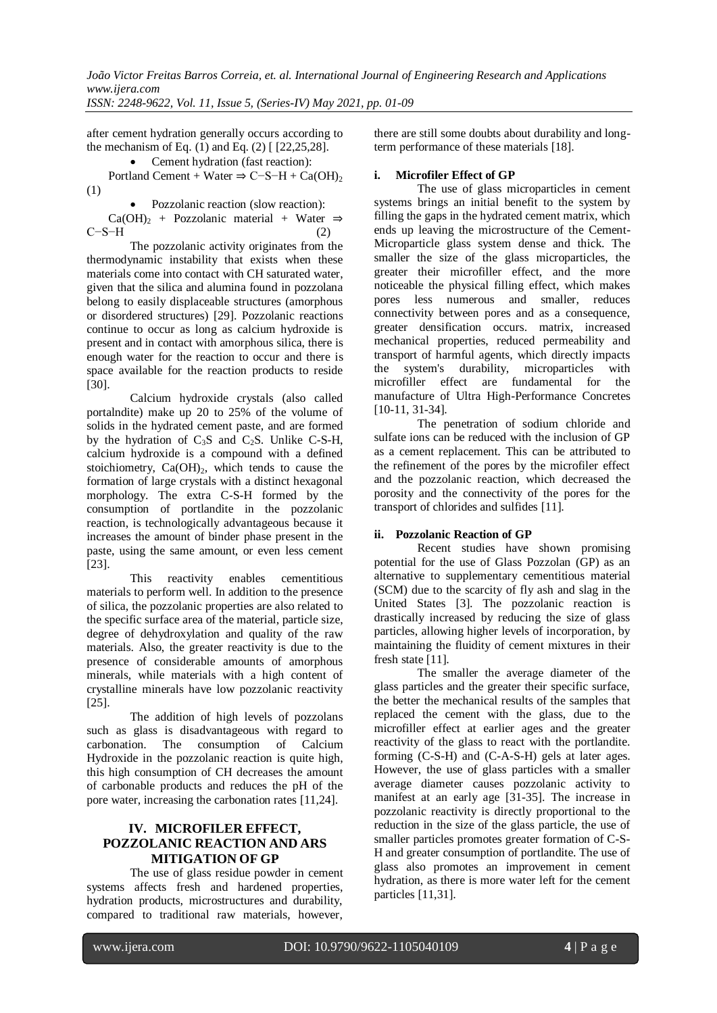*ISSN: 2248-9622, Vol. 11, Issue 5, (Series-IV) May 2021, pp. 01-09*

after cement hydration generally occurs according to the mechanism of Eq.  $(1)$  and Eq.  $(2)$  [  $[22,25,28]$ ].

Cement hydration (fast reaction):

Portland Cement + Water  $\Rightarrow$  C−S−H + Ca(OH)<sub>2</sub> (1)

 Pozzolanic reaction (slow reaction): Ca(OH)<sub>2</sub> + Pozzolanic material + Water  $\Rightarrow$  $C-S-H$  (2)

The pozzolanic activity originates from the thermodynamic instability that exists when these materials come into contact with CH saturated water, given that the silica and alumina found in pozzolana belong to easily displaceable structures (amorphous or disordered structures) [29]. Pozzolanic reactions continue to occur as long as calcium hydroxide is present and in contact with amorphous silica, there is enough water for the reaction to occur and there is space available for the reaction products to reside [30].

Calcium hydroxide crystals (also called portalndite) make up 20 to 25% of the volume of solids in the hydrated cement paste, and are formed by the hydration of  $C_3S$  and  $C_2S$ . Unlike C-S-H, calcium hydroxide is a compound with a defined stoichiometry,  $Ca(OH)_2$ , which tends to cause the formation of large crystals with a distinct hexagonal morphology. The extra C-S-H formed by the consumption of portlandite in the pozzolanic reaction, is technologically advantageous because it increases the amount of binder phase present in the paste, using the same amount, or even less cement [23].

This reactivity enables cementitious materials to perform well. In addition to the presence of silica, the pozzolanic properties are also related to the specific surface area of the material, particle size, degree of dehydroxylation and quality of the raw materials. Also, the greater reactivity is due to the presence of considerable amounts of amorphous minerals, while materials with a high content of crystalline minerals have low pozzolanic reactivity [25].

The addition of high levels of pozzolans such as glass is disadvantageous with regard to carbonation. The consumption of Calcium Hydroxide in the pozzolanic reaction is quite high, this high consumption of CH decreases the amount of carbonable products and reduces the pH of the pore water, increasing the carbonation rates [11,24].

# **IV. MICROFILER EFFECT, POZZOLANIC REACTION AND ARS MITIGATION OF GP**

The use of glass residue powder in cement systems affects fresh and hardened properties, hydration products, microstructures and durability, compared to traditional raw materials, however,

there are still some doubts about durability and longterm performance of these materials [18].

### **i. Microfiler Effect of GP**

The use of glass microparticles in cement systems brings an initial benefit to the system by filling the gaps in the hydrated cement matrix, which ends up leaving the microstructure of the Cement-Microparticle glass system dense and thick. The smaller the size of the glass microparticles, the greater their microfiller effect, and the more noticeable the physical filling effect, which makes pores less numerous and smaller, reduces connectivity between pores and as a consequence, greater densification occurs. matrix, increased mechanical properties, reduced permeability and transport of harmful agents, which directly impacts the system's durability, microparticles with microfiller effect are fundamental for the manufacture of Ultra High-Performance Concretes [10-11, 31-34].

The penetration of sodium chloride and sulfate ions can be reduced with the inclusion of GP as a cement replacement. This can be attributed to the refinement of the pores by the microfiler effect and the pozzolanic reaction, which decreased the porosity and the connectivity of the pores for the transport of chlorides and sulfides [11].

# **ii. Pozzolanic Reaction of GP**

Recent studies have shown promising potential for the use of Glass Pozzolan (GP) as an alternative to supplementary cementitious material (SCM) due to the scarcity of fly ash and slag in the United States [3]. The pozzolanic reaction is drastically increased by reducing the size of glass particles, allowing higher levels of incorporation, by maintaining the fluidity of cement mixtures in their fresh state [11].

The smaller the average diameter of the glass particles and the greater their specific surface, the better the mechanical results of the samples that replaced the cement with the glass, due to the microfiller effect at earlier ages and the greater reactivity of the glass to react with the portlandite. forming (C-S-H) and (C-A-S-H) gels at later ages. However, the use of glass particles with a smaller average diameter causes pozzolanic activity to manifest at an early age [31-35]. The increase in pozzolanic reactivity is directly proportional to the reduction in the size of the glass particle, the use of smaller particles promotes greater formation of C-S-H and greater consumption of portlandite. The use of glass also promotes an improvement in cement hydration, as there is more water left for the cement particles [11,31].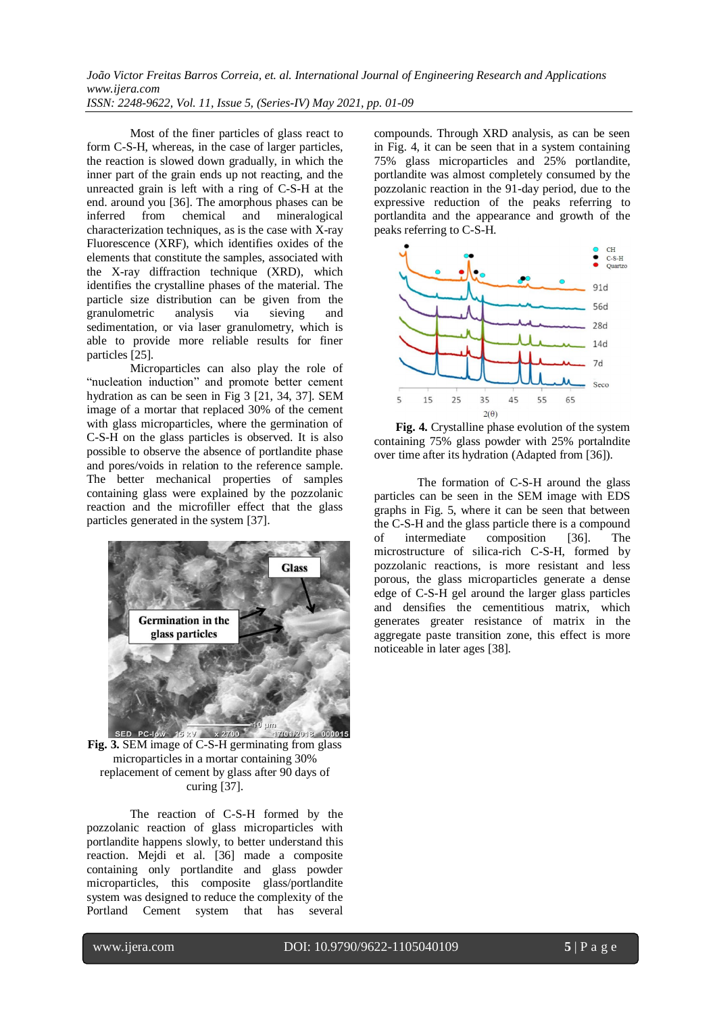*ISSN: 2248-9622, Vol. 11, Issue 5, (Series-IV) May 2021, pp. 01-09*

Most of the finer particles of glass react to form C-S-H, whereas, in the case of larger particles, the reaction is slowed down gradually, in which the inner part of the grain ends up not reacting, and the unreacted grain is left with a ring of C-S-H at the end. around you [36]. The amorphous phases can be inferred from chemical and mineralogical characterization techniques, as is the case with  $X$ -ray Fluorescence (XRF), which identifies oxides of the elements that constitute the samples, associated with the X-ray diffraction technique (XRD), which identifies the crystalline phases of the material. The particle size distribution can be given from the granulometric analysis via sieving and sedimentation, or via laser granulometry, which is able to provide more reliable results for finer particles [25].

Microparticles can also play the role of "nucleation induction" and promote better cement hydration as can be seen in Fig 3 [21, 34, 37]. SEM image of a mortar that replaced 30% of the cement with glass microparticles, where the germination of C-S-H on the glass particles is observed. It is also possible to observe the absence of portlandite phase and pores/voids in relation to the reference sample. The better mechanical properties of samples containing glass were explained by the pozzolanic reaction and the microfiller effect that the glass particles generated in the system [37].



**Fig. 3.** SEM image of C-S-H germinating from glass microparticles in a mortar containing 30% replacement of cement by glass after 90 days of curing [37].

The reaction of C-S-H formed by the pozzolanic reaction of glass microparticles with portlandite happens slowly, to better understand this reaction. Mejdi et al. [36] made a composite containing only portlandite and glass powder microparticles, this composite glass/portlandite system was designed to reduce the complexity of the Portland Cement system that has several

compounds. Through XRD analysis, as can be seen in Fig. 4, it can be seen that in a system containing 75% glass microparticles and 25% portlandite, portlandite was almost completely consumed by the pozzolanic reaction in the 91-day period, due to the expressive reduction of the peaks referring to portlandita and the appearance and growth of the peaks referring to C-S-H.



**Fig. 4.** Crystalline phase evolution of the system containing 75% glass powder with 25% portalndite over time after its hydration (Adapted from [36]).

The formation of C-S-H around the glass particles can be seen in the SEM image with EDS graphs in Fig. 5, where it can be seen that between the C-S-H and the glass particle there is a compound of intermediate composition [36]. The microstructure of silica-rich C-S-H, formed by pozzolanic reactions, is more resistant and less porous, the glass microparticles generate a dense edge of C-S-H gel around the larger glass particles and densifies the cementitious matrix, which generates greater resistance of matrix in the aggregate paste transition zone, this effect is more noticeable in later ages [38].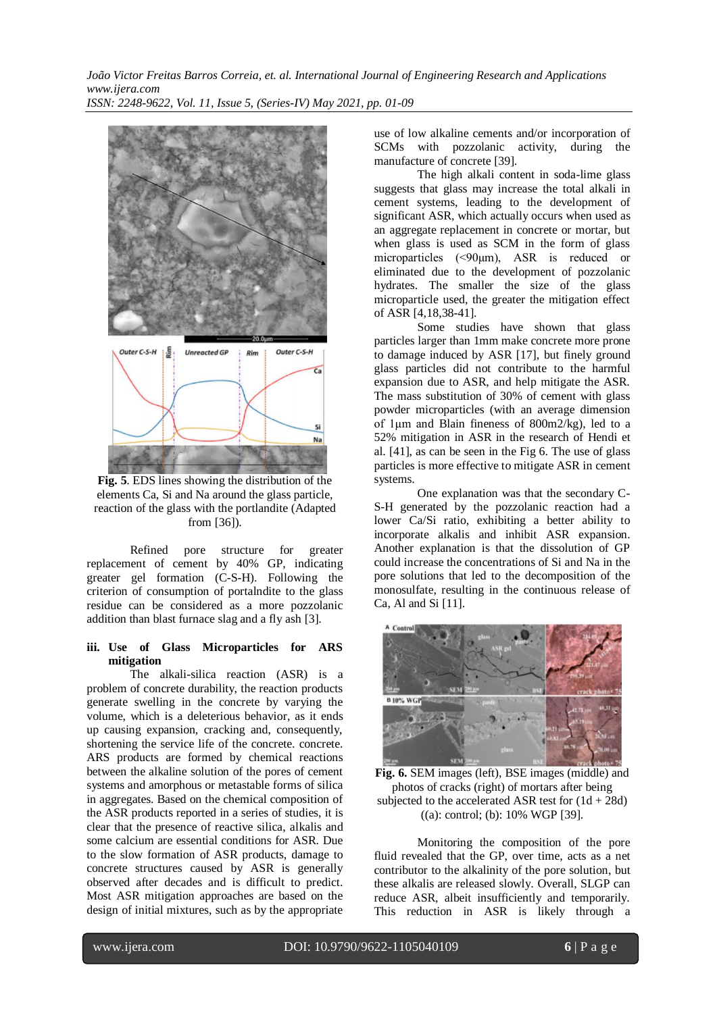*João Victor Freitas Barros Correia, et. al. International Journal of Engineering Research and Applications www.ijera.com ISSN: 2248-9622, Vol. 11, Issue 5, (Series-IV) May 2021, pp. 01-09*



**Fig. 5**. EDS lines showing the distribution of the elements Ca, Si and Na around the glass particle, reaction of the glass with the portlandite (Adapted from [36]).

Refined pore structure for greater replacement of cement by 40% GP, indicating greater gel formation (C-S-H). Following the criterion of consumption of portalndite to the glass residue can be considered as a more pozzolanic addition than blast furnace slag and a fly ash [3].

#### **iii. Use of Glass Microparticles for ARS mitigation**

The alkali-silica reaction (ASR) is a problem of concrete durability, the reaction products generate swelling in the concrete by varying the volume, which is a deleterious behavior, as it ends up causing expansion, cracking and, consequently, shortening the service life of the concrete. concrete. ARS products are formed by chemical reactions between the alkaline solution of the pores of cement systems and amorphous or metastable forms of silica in aggregates. Based on the chemical composition of the ASR products reported in a series of studies, it is clear that the presence of reactive silica, alkalis and some calcium are essential conditions for ASR. Due to the slow formation of ASR products, damage to concrete structures caused by ASR is generally observed after decades and is difficult to predict. Most ASR mitigation approaches are based on the design of initial mixtures, such as by the appropriate

use of low alkaline cements and/or incorporation of SCMs with pozzolanic activity, during the manufacture of concrete [39].

The high alkali content in soda-lime glass suggests that glass may increase the total alkali in cement systems, leading to the development of significant ASR, which actually occurs when used as an aggregate replacement in concrete or mortar, but when glass is used as SCM in the form of glass microparticles (<90μm), ASR is reduced or eliminated due to the development of pozzolanic hydrates. The smaller the size of the glass microparticle used, the greater the mitigation effect of ASR [4,18,38-41].

Some studies have shown that glass particles larger than 1mm make concrete more prone to damage induced by ASR [17], but finely ground glass particles did not contribute to the harmful expansion due to ASR, and help mitigate the ASR. The mass substitution of 30% of cement with glass powder microparticles (with an average dimension of 1μm and Blain fineness of 800m2/kg), led to a 52% mitigation in ASR in the research of Hendi et al. [41], as can be seen in the Fig 6. The use of glass particles is more effective to mitigate ASR in cement systems.

One explanation was that the secondary C-S-H generated by the pozzolanic reaction had a lower Ca/Si ratio, exhibiting a better ability to incorporate alkalis and inhibit ASR expansion. Another explanation is that the dissolution of GP could increase the concentrations of Si and Na in the pore solutions that led to the decomposition of the monosulfate, resulting in the continuous release of Ca, Al and Si [11].



**Fig. 6.** SEM images (left), BSE images (middle) and photos of cracks (right) of mortars after being subjected to the accelerated ASR test for  $(1d + 28d)$ ((a): control; (b): 10% WGP [39].

Monitoring the composition of the pore fluid revealed that the GP, over time, acts as a net contributor to the alkalinity of the pore solution, but these alkalis are released slowly. Overall, SLGP can reduce ASR, albeit insufficiently and temporarily. This reduction in ASR is likely through a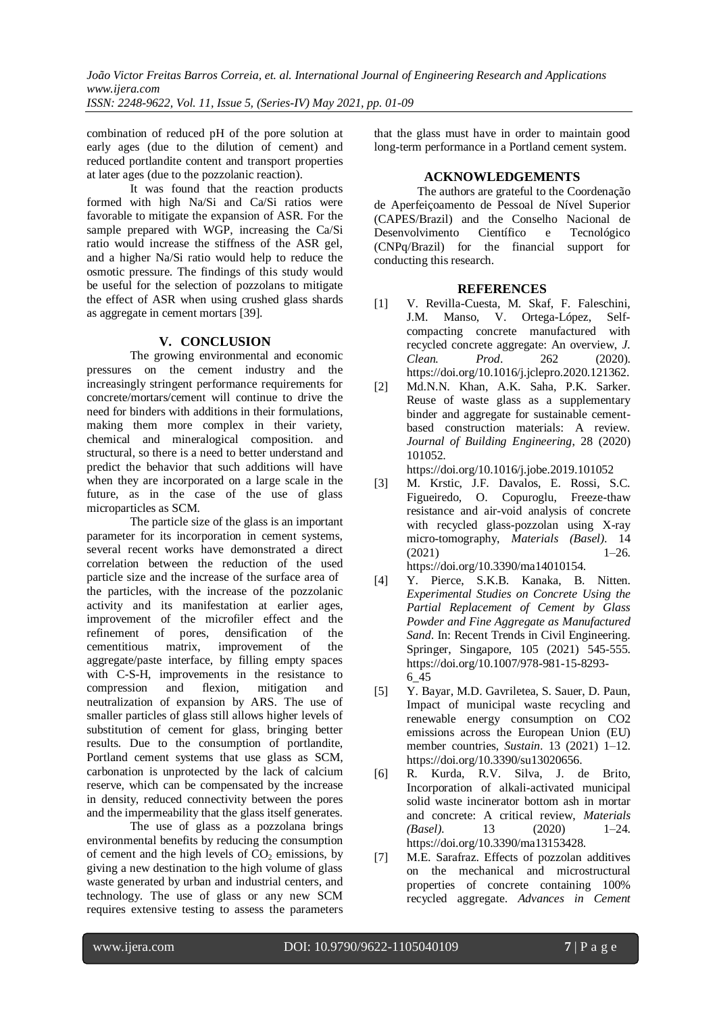*ISSN: 2248-9622, Vol. 11, Issue 5, (Series-IV) May 2021, pp. 01-09*

combination of reduced pH of the pore solution at early ages (due to the dilution of cement) and reduced portlandite content and transport properties at later ages (due to the pozzolanic reaction).

It was found that the reaction products formed with high Na/Si and Ca/Si ratios were favorable to mitigate the expansion of ASR. For the sample prepared with WGP, increasing the Ca/Si ratio would increase the stiffness of the ASR gel, and a higher Na/Si ratio would help to reduce the osmotic pressure. The findings of this study would be useful for the selection of pozzolans to mitigate the effect of ASR when using crushed glass shards as aggregate in cement mortars [39].

# **V. CONCLUSION**

The growing environmental and economic pressures on the cement industry and the increasingly stringent performance requirements for concrete/mortars/cement will continue to drive the need for binders with additions in their formulations, making them more complex in their variety, chemical and mineralogical composition. and structural, so there is a need to better understand and predict the behavior that such additions will have when they are incorporated on a large scale in the future, as in the case of the use of glass microparticles as SCM.

The particle size of the glass is an important parameter for its incorporation in cement systems, several recent works have demonstrated a direct correlation between the reduction of the used particle size and the increase of the surface area of the particles, with the increase of the pozzolanic activity and its manifestation at earlier ages, improvement of the microfiler effect and the refinement of pores, densification of the cementitious matrix, improvement of the aggregate/paste interface, by filling empty spaces with C-S-H, improvements in the resistance to compression and flexion, mitigation and neutralization of expansion by ARS. The use of smaller particles of glass still allows higher levels of substitution of cement for glass, bringing better results. Due to the consumption of portlandite, Portland cement systems that use glass as SCM, carbonation is unprotected by the lack of calcium reserve, which can be compensated by the increase in density, reduced connectivity between the pores and the impermeability that the glass itself generates.

The use of glass as a pozzolana brings environmental benefits by reducing the consumption of cement and the high levels of  $CO<sub>2</sub>$  emissions, by giving a new destination to the high volume of glass waste generated by urban and industrial centers, and technology. The use of glass or any new SCM requires extensive testing to assess the parameters

that the glass must have in order to maintain good long-term performance in a Portland cement system.

### **ACKNOWLEDGEMENTS**

The authors are grateful to the Coordenação de Aperfeiçoamento de Pessoal de Nível Superior (CAPES/Brazil) and the Conselho Nacional de Desenvolvimento Científico e Tecnológico (CNPq/Brazil) for the financial support for conducting this research.

#### **REFERENCES**

- [1] V. Revilla-Cuesta, M. Skaf, F. Faleschini, J.M. Manso, V. Ortega-López, Selfcompacting concrete manufactured with recycled concrete aggregate: An overview, *J. Clean. Prod*. 262 (2020). https://doi.org/10.1016/j.jclepro.2020.121362.
- [2] Md.N.N. Khan, A.K. Saha, P.K. Sarker. Reuse of waste glass as a supplementary binder and aggregate for sustainable cementbased construction materials: A review. *Journal of Building Engineering*, 28 (2020) 101052.

<https://doi.org/10.1016/j.jobe.2019.101052>

- [3] M. Krstic, J.F. Davalos, E. Rossi, S.C. Figueiredo, O. Copuroglu, Freeze-thaw resistance and air-void analysis of concrete with recycled glass-pozzolan using X-ray micro-tomography, *Materials (Basel)*. 14  $(2021)$  1–26. https://doi.org/10.3390/ma14010154.
- [4] Y. Pierce, S.K.B. Kanaka, B. Nitten. *Experimental Studies on Concrete Using the Partial Replacement of Cement by Glass Powder and Fine Aggregate as Manufactured Sand*. In: Recent Trends in Civil Engineering. Springer, Singapore, 105 (2021) 545-555. https://doi.org/10.1007/978-981-15-8293- 6\_45
- [5] Y. Bayar, M.D. Gavriletea, S. Sauer, D. Paun, Impact of municipal waste recycling and renewable energy consumption on CO2 emissions across the European Union (EU) member countries, *Sustain*. 13 (2021) 1–12. https://doi.org/10.3390/su13020656.
- [6] R. Kurda, R.V. Silva, J. de Brito, Incorporation of alkali-activated municipal solid waste incinerator bottom ash in mortar and concrete: A critical review, *Materials (Basel)*. 13 (2020) 1–24. https://doi.org/10.3390/ma13153428.
- [7] M.E. Sarafraz. Effects of pozzolan additives on the mechanical and microstructural properties of concrete containing 100% recycled aggregate. *Advances in Cement*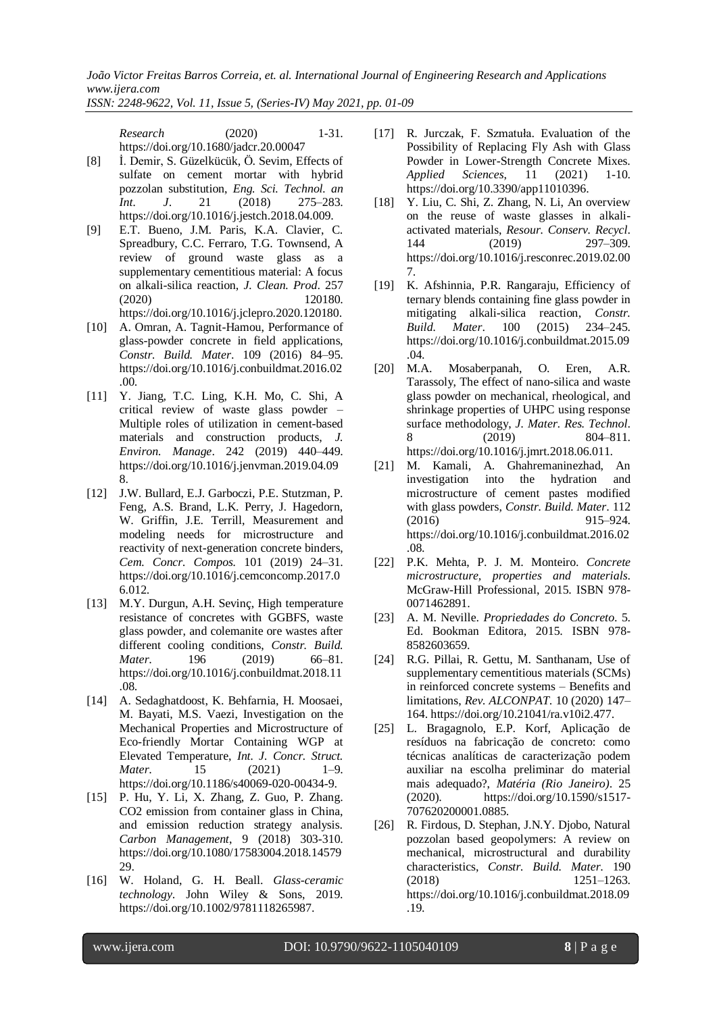*ISSN: 2248-9622, Vol. 11, Issue 5, (Series-IV) May 2021, pp. 01-09*

*Research* (2020) 1-31. <https://doi.org/10.1680/jadcr.20.00047>

- [8] İ. Demir, S. Güzelkücük, Ö. Sevim, Effects of sulfate on cement mortar with hybrid pozzolan substitution, *Eng. Sci. Technol. an Int. J*. 21 (2018) 275–283. https://doi.org/10.1016/j.jestch.2018.04.009.
- [9] E.T. Bueno, J.M. Paris, K.A. Clavier, C. Spreadbury, C.C. Ferraro, T.G. Townsend, A review of ground waste glass as a supplementary cementitious material: A focus on alkali-silica reaction, *J. Clean. Prod*. 257 (2020) 120180. https://doi.org/10.1016/j.jclepro.2020.120180.
- [10] A. Omran, A. Tagnit-Hamou, Performance of glass-powder concrete in field applications, *Constr. Build. Mater*. 109 (2016) 84–95. https://doi.org/10.1016/j.conbuildmat.2016.02 .00.
- [11] Y. Jiang, T.C. Ling, K.H. Mo, C. Shi, A critical review of waste glass powder – Multiple roles of utilization in cement-based materials and construction products, *J. Environ. Manage*. 242 (2019) 440–449. https://doi.org/10.1016/j.jenvman.2019.04.09 8.
- [12] J.W. Bullard, E.J. Garboczi, P.E. Stutzman, P. Feng, A.S. Brand, L.K. Perry, J. Hagedorn, W. Griffin, J.E. Terrill, Measurement and modeling needs for microstructure and reactivity of next-generation concrete binders, *Cem. Concr. Compos.* 101 (2019) 24–31. https://doi.org/10.1016/j.cemconcomp.2017.0 6.012.
- [13] M.Y. Durgun, A.H. Sevinç, High temperature resistance of concretes with GGBFS, waste glass powder, and colemanite ore wastes after different cooling conditions, *Constr. Build. Mater*. 196 (2019) 66–81. https://doi.org/10.1016/j.conbuildmat.2018.11 .08.
- [14] A. Sedaghatdoost, K. Behfarnia, H. Moosaei, M. Bayati, M.S. Vaezi, Investigation on the Mechanical Properties and Microstructure of Eco-friendly Mortar Containing WGP at Elevated Temperature, *Int. J. Concr. Struct. Mater*. 15 (2021) 1–9. https://doi.org/10.1186/s40069-020-00434-9.
- [15] P. Hu, Y. Li, X. Zhang, Z. Guo, P. Zhang. CO2 emission from container glass in China, and emission reduction strategy analysis. *Carbon Management*, 9 (2018) 303-310. [https://doi.org/10.1080/17583004.2018.14579](https://doi.org/10.1080/17583004.2018.1457929) [29.](https://doi.org/10.1080/17583004.2018.1457929)
- [16] W. Holand, G. H. Beall. *Glass-ceramic technology*. John Wiley & Sons, 2019. [https://doi.org/10.1002/9781118265987.](https://doi.org/10.1002/9781118265987)
- [17] R. Jurczak, F. Szmatuła. Evaluation of the Possibility of Replacing Fly Ash with Glass Powder in Lower-Strength Concrete Mixes. *Applied Sciences*, 11 (2021) 1-10. [https://doi.org/10.3390/app11010396.](https://doi.org/10.3390/app11010396)
- [18] Y. Liu, C. Shi, Z. Zhang, N. Li, An overview on the reuse of waste glasses in alkaliactivated materials, *Resour. Conserv. Recycl*. 144 (2019) 297–309. https://doi.org/10.1016/j.resconrec.2019.02.00 7.
- [19] K. Afshinnia, P.R. Rangaraju, Efficiency of ternary blends containing fine glass powder in mitigating alkali-silica reaction, *Constr. Build. Mater*. 100 (2015) 234–245. https://doi.org/10.1016/j.conbuildmat.2015.09 .04.
- [20] M.A. Mosaberpanah, O. Eren, A.R. Tarassoly, The effect of nano-silica and waste glass powder on mechanical, rheological, and shrinkage properties of UHPC using response surface methodology, *J. Mater. Res. Technol*. 8 (2019) 804–811. https://doi.org/10.1016/j.jmrt.2018.06.011.
- [21] M. Kamali, A. Ghahremaninezhad, An investigation into the hydration and microstructure of cement pastes modified with glass powders, *Constr. Build. Mater*. 112 (2016) 915–924. https://doi.org/10.1016/j.conbuildmat.2016.02 .08.
- [22] P.K. Mehta, P. J. M. Monteiro. *Concrete microstructure, properties and materials*. McGraw-Hill Professional, 2015. ISBN 978- 0071462891.
- [23] A. M. Neville. *Propriedades do Concreto*. 5. Ed. Bookman Editora, 2015. ISBN 978- 8582603659.
- [24] R.G. Pillai, R. Gettu, M. Santhanam, Use of supplementary cementitious materials (SCMs) in reinforced concrete systems – Benefits and limitations, *Rev. ALCONPAT*. 10 (2020) 147– 164. https://doi.org/10.21041/ra.v10i2.477.
- [25] L. Bragagnolo, E.P. Korf, Aplicação de resíduos na fabricação de concreto: como técnicas analíticas de caracterização podem auxiliar na escolha preliminar do material mais adequado?, *Matéria (Rio Janeiro)*. 25 (2020). https://doi.org/10.1590/s1517- 707620200001.0885.
- [26] R. Firdous, D. Stephan, J.N.Y. Djobo, Natural pozzolan based geopolymers: A review on mechanical, microstructural and durability characteristics, *Constr. Build. Mater*. 190 (2018) 1251–1263. https://doi.org/10.1016/j.conbuildmat.2018.09 .19.